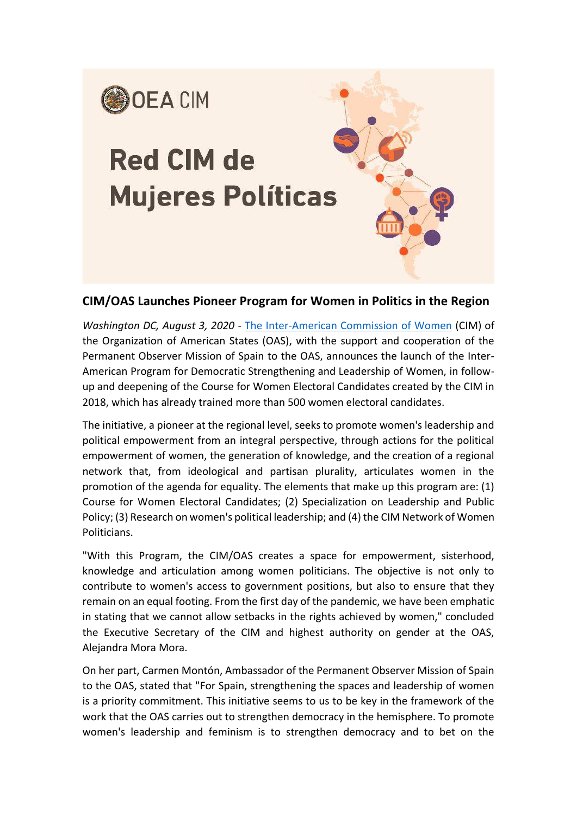

## **CIM/OAS Launches Pioneer Program for Women in Politics in the Region**

*Washington DC, August 3, 2020* - [The Inter-American Commission of Women](http://www.oas.org/en/cim/default.asp) (CIM) of the Organization of American States (OAS), with the support and cooperation of the Permanent Observer Mission of Spain to the OAS, announces the launch of the Inter-American Program for Democratic Strengthening and Leadership of Women, in followup and deepening of the Course for Women Electoral Candidates created by the CIM in 2018, which has already trained more than 500 women electoral candidates.

The initiative, a pioneer at the regional level, seeks to promote women's leadership and political empowerment from an integral perspective, through actions for the political empowerment of women, the generation of knowledge, and the creation of a regional network that, from ideological and partisan plurality, articulates women in the promotion of the agenda for equality. The elements that make up this program are: (1) Course for Women Electoral Candidates; (2) Specialization on Leadership and Public Policy; (3) Research on women's political leadership; and (4) the CIM Network of Women Politicians.

"With this Program, the CIM/OAS creates a space for empowerment, sisterhood, knowledge and articulation among women politicians. The objective is not only to contribute to women's access to government positions, but also to ensure that they remain on an equal footing. From the first day of the pandemic, we have been emphatic in stating that we cannot allow setbacks in the rights achieved by women," concluded the Executive Secretary of the CIM and highest authority on gender at the OAS, Alejandra Mora Mora.

On her part, Carmen Montón, Ambassador of the Permanent Observer Mission of Spain to the OAS, stated that "For Spain, strengthening the spaces and leadership of women is a priority commitment. This initiative seems to us to be key in the framework of the work that the OAS carries out to strengthen democracy in the hemisphere. To promote women's leadership and feminism is to strengthen democracy and to bet on the